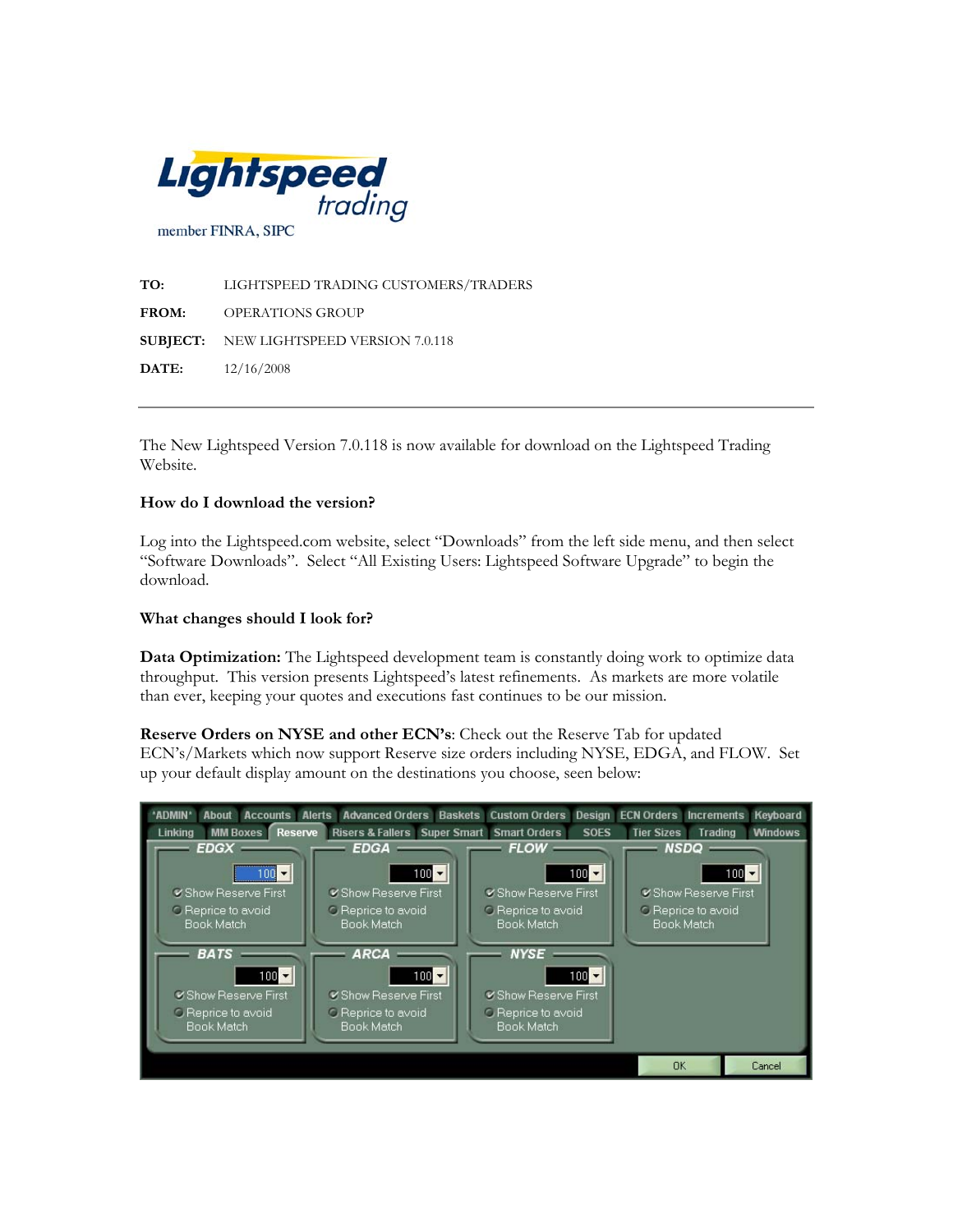

**TO:** LIGHTSPEED TRADING CUSTOMERS/TRADERS **FROM:** OPERATIONS GROUP **SUBJECT:** NEW LIGHTSPEED VERSION 7.0.118 **DATE:** 12/16/2008

The New Lightspeed Version 7.0.118 is now available for download on the Lightspeed Trading Website.

## **How do I download the version?**

Log into the Lightspeed.com website, select "Downloads" from the left side menu, and then select "Software Downloads". Select "All Existing Users: Lightspeed Software Upgrade" to begin the download.

## **What changes should I look for?**

**Data Optimization:** The Lightspeed development team is constantly doing work to optimize data throughput. This version presents Lightspeed's latest refinements. As markets are more volatile than ever, keeping your quotes and executions fast continues to be our mission.

**Reserve Orders on NYSE and other ECN's**: Check out the Reserve Tab for updated ECN's/Markets which now support Reserve size orders including NYSE, EDGA, and FLOW. Set up your default display amount on the destinations you choose, seen below: